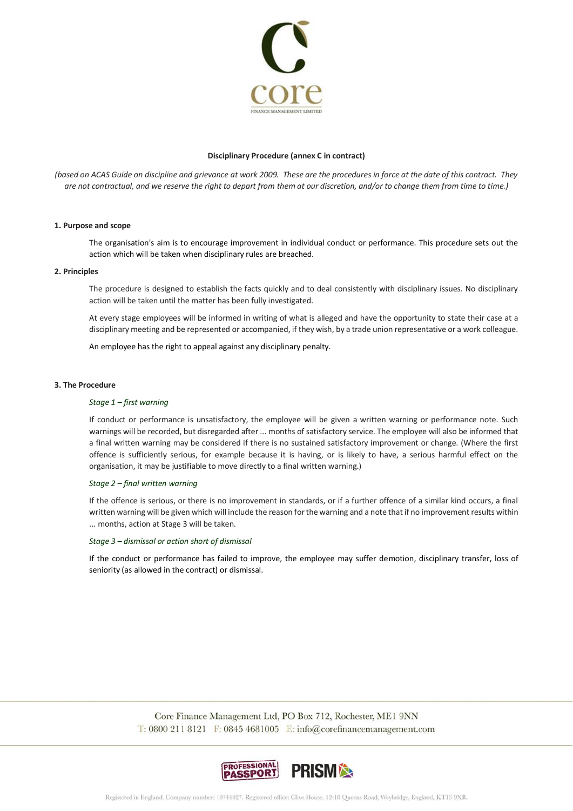

## **Disciplinary Procedure (annex C in contract)**

*(based on ACAS Guide on discipline and grievance at work 2009. These are the procedures in force at the date of this contract. They are not contractual, and we reserve the right to depart from them at our discretion, and/or to change them from time to time.)*

# **1. Purpose and scope**

The organisation's aim is to encourage improvement in individual conduct or performance. This procedure sets out the action which will be taken when disciplinary rules are breached.

#### **2. Principles**

The procedure is designed to establish the facts quickly and to deal consistently with disciplinary issues. No disciplinary action will be taken until the matter has been fully investigated.

At every stage employees will be informed in writing of what is alleged and have the opportunity to state their case at a disciplinary meeting and be represented or accompanied, if they wish, by a trade union representative or a work colleague.

An employee has the right to appeal against any disciplinary penalty.

## **3. The Procedure**

## *Stage 1 – first warning*

If conduct or performance is unsatisfactory, the employee will be given a written warning or performance note. Such warnings will be recorded, but disregarded after ... months of satisfactory service. The employee will also be informed that a final written warning may be considered if there is no sustained satisfactory improvement or change. (Where the first offence is sufficiently serious, for example because it is having, or is likely to have, a serious harmful effect on the organisation, it may be justifiable to move directly to a final written warning.)

## *Stage 2 – final written warning*

If the offence is serious, or there is no improvement in standards, or if a further offence of a similar kind occurs, a final written warning will be given which will include the reason for the warning and a note that if no improvement results within ... months, action at Stage 3 will be taken.

## *Stage 3 – dismissal or action short of dismissal*

If the conduct or performance has failed to improve, the employee may suffer demotion, disciplinary transfer, loss of seniority (as allowed in the contract) or dismissal.

> Core Finance Management Ltd, PO Box 712, Rochester, ME1 9NN  $T: 08002118121$  F: 0845 4681005 E: info@corefinancemanagement.com